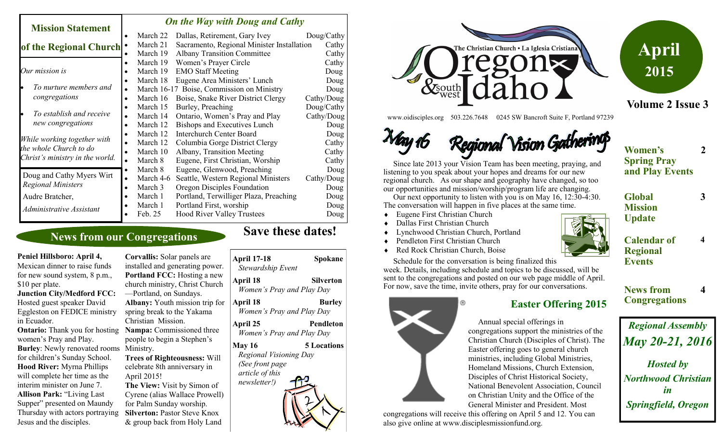#### *On the Way with Doug and Cathy*

| <b>Mission Statement</b>                                                                 | $\sigma$ <i>n</i> and $\sigma$ as $\sigma$ and $\sigma$ and $\sigma$ and $\sigma$ |                                            |            |
|------------------------------------------------------------------------------------------|-----------------------------------------------------------------------------------|--------------------------------------------|------------|
|                                                                                          | March 22                                                                          | Dallas, Retirement, Gary Ivey              | Doug/Cathy |
| of the Regional Church                                                                   | March 21                                                                          | Sacramento, Regional Minister Installation | Cathy      |
|                                                                                          | March 19                                                                          | <b>Albany Transition Committee</b>         | Cathy      |
|                                                                                          | March 19<br>٠                                                                     | Women's Prayer Circle                      | Cathy      |
| Our mission is                                                                           | March 19                                                                          | <b>EMO Staff Meeting</b>                   | Doug       |
| To nurture members and<br>lo<br>congregations                                            | March 18                                                                          | Eugene Area Ministers' Lunch               | Doug       |
|                                                                                          | $\bullet$                                                                         | March 16-17 Boise, Commission on Ministry  | Doug       |
|                                                                                          | March 16                                                                          | Boise, Snake River District Clergy         | Cathy/Doug |
| To establish and receive<br>le<br>new congregations                                      | March 15<br>$\bullet$                                                             | Burley, Preaching                          | Doug/Cathy |
|                                                                                          | March 14<br>$\bullet$                                                             | Ontario, Women's Pray and Play             | Cathy/Doug |
|                                                                                          | March 12                                                                          | Bishops and Executives Lunch               | Doug       |
| While working together with<br>the whole Church to do<br>Christ's ministry in the world. | March 12                                                                          | <b>Interchurch Center Board</b>            | Doug       |
|                                                                                          | March 12                                                                          | Columbia Gorge District Clergy             | Cathy      |
|                                                                                          | March 10<br>٠                                                                     | Albany, Transition Meeting                 | Cathy      |
|                                                                                          | March 8<br>$\bullet$                                                              | Eugene, First Christian, Worship           | Cathy      |
| Doug and Cathy Myers Wirt<br><b>Regional Ministers</b>                                   | March 8<br>$\bullet$                                                              | Eugene, Glenwood, Preaching                | Doug       |
|                                                                                          | March 4-6<br>$\bullet$                                                            | Seattle, Western Regional Ministers        | Cathy/Doug |
|                                                                                          | March 3<br>$\bullet$                                                              | Oregon Disciples Foundation                | Doug       |
| Audre Bratcher,                                                                          | March 1                                                                           | Portland, Terwilliger Plaza, Preaching     | Doug       |
| Administrative Assistant                                                                 | March 1                                                                           | Portland First, worship                    | Doug       |
|                                                                                          | Feb. 25                                                                           | <b>Hood River Valley Trustees</b>          | Doug       |

#### **News from our Congregations**

**Peniel Hillsboro: April 4,**  Mexican dinner to raise funds for new sound system, 8 p.m., \$10 per plate.

**Junction City/Medford FCC:**  Hosted guest speaker David Eggleston on FEDICE ministry in Ecuador.

**Ontario:** Thank you for hosting Nampa: Commissioned three Burley: Newly renovated rooms Ministry. women's Pray and Play. for children's Sunday School. **Hood River:** Myrna Phillips will complete her time as the interim minister on June 7. **Allison Park:** "Living Last Supper" presented on Maundy Thursday with actors portraying Jesus and the disciples.

**Corvallis:** Solar panels are installed and generating power. **Portland FCC:** Hosting a new church ministry, Christ Church —Portland, on Sundays. **Albany:** Youth mission trip for spring break to the Yakama Christian Mission. people to begin a Stephen's **Trees of Righteousness:** Will celebrate 8th anniversary in April 2015! **The View:** Visit by Simon of Cyrene (alias Wallace Prowell) for Palm Sunday worship. **Silverton: Pastor Steve Knox** 

& group back from Holy Land

| April 17-18<br>Stewardship Event                           | Spokane                                       |
|------------------------------------------------------------|-----------------------------------------------|
| April 18                                                   | Silverton<br>Women's Pray and Play Day        |
| April 18                                                   | <b>Burley</b><br>Women's Pray and Play Day    |
| April 25                                                   | <b>Pendleton</b><br>Women's Pray and Play Day |
| <b>May 16</b><br>Regional Visioning Day<br>(See front page | <b>5 Locations</b>                            |
| article of this<br>newsletter!)                            |                                               |
|                                                            |                                               |

**Save these dates!** 





**2**

**3**

**4**

www.oidisciples.org 503.226.7648 0245 SW Bancroft Suite F, Portland 97239

May 16 Regional Vision Gather

 Since late 2013 your Vision Team has been meeting, praying, and listening to you speak about your hopes and dreams for our new regional church. As our shape and geography have changed, so too our opportunities and mission/worship/program life are changing.

 Our next opportunity to listen with you is on May 16, 12:30-4:30. The conversation will happen in five places at the same time.

week. Details, including schedule and topics to be discussed, will be sent to the congregations and posted on our web page middle of April.

Schedule for the conversation is being finalized this

⊚

Eugene First Christian Church

 Pendleton First Christian Church ◆ Red Rock Christian Church, Boise

- Dallas First Christian Church
- Lynchwood Christian Church, Portland

**Calendar of Regional Events**

**Women's Spring Pray and Play Events**

**Global**

**News from Congregations 4**

# *Regional Assembly May 20-21, 2016 Hosted by Northwood Christian in Springfield, Oregon*

### For now, save the time, invite others, pray for our conversations. **Easter Offering 2015**

 Annual special offerings in congregations support the ministries of the Christian Church (Disciples of Christ). The Easter offering goes to general church ministries, including Global Ministries, Homeland Missions, Church Extension, Disciples of Christ Historical Society, National Benevolent Association, Council on Christian Unity and the Office of the General Minister and President. Most

congregations will receive this offering on April 5 and 12. You can also give online at www.disciplesmissionfund.org.